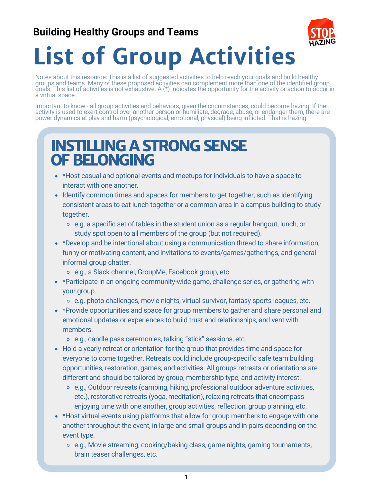## **Building Healthy Groups and Teams**



# **List of Group Activities**

Notes about this resource: This is a list of suggested activities to help reach your goals and build healthy groups and teams. Many of these proposed activities can complement more than one of the identified group groups and teams many of these proposed definition can exhibit the many for the activity or action to occur in a virtual space.

Important to know - all group activities and behaviors, given the circumstances, could become hazing. If the activity is used to exert control over another person or humiliate, degrade, abuse, or endanger them, there are power dynamics at play and harm (psychological, emotional, physical) being inflicted. That is hazing.

## **INSTILLING A STRONG SENSE OF BELONGING**

- \*Host casual and optional events and meetups for individuals to have a space to interact with one another.
- Identify common times and spaces for members to get together, such as identifying consistent areas to eat lunch together or a common area in a campus building to study together.
	- $\circ$  e.g. a specific set of tables in the student union as a regular hangout, lunch, or study spot open to all members of the group (but not required).
- \*Develop and be intentional about using a communication thread to share information, funny or motivating content, and invitations to events/games/gatherings, and general informal group chatter.
	- e.g., a Slack channel, GroupMe, Facebook group, etc.
- \*Participate in an ongoing community-wide game, challenge series, or gathering with your group.
	- e.g. photo challenges, movie nights, virtual survivor, fantasy sports leagues, etc.
- \*Provide opportunities and space for group members to gather and share personal and emotional updates or experiences to build trust and relationships, and vent with members.
	- e.g., candle pass ceremonies, talking "stick" sessions, etc.
- Hold a yearly retreat or orientation for the group that provides time and space for everyone to come together. Retreats could include group-specific safe team building opportunities, restoration, games, and activities. All groups retreats or orientations are different and should be tailored by group, membership type, and activity interest.
	- e.g., Outdoor retreats (camping, hiking, professional outdoor adventure activities, etc.), restorative retreats (yoga, meditation), relaxing retreats that encompass enjoying time with one another, group activities, reflection, group planning, etc.
- \*Host virtual events using platforms that allow for group members to engage with one another throughout the event, in large and small groups and in pairs depending on the event type.
	- e.g., Movie streaming, cooking/baking class, game nights, gaming tournaments, brain teaser challenges, etc.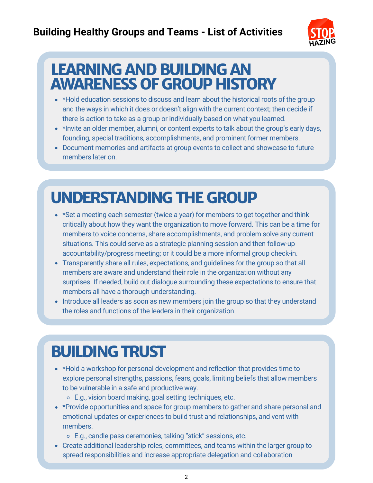## **Building Healthy Groups and Teams - List of Activities**



## **LEARNING AND BUILDING AN AWARENESS OF GROUP HISTORY**

- \*Hold education sessions to discuss and learn about the historical roots of the group and the ways in which it does or doesn't align with the current context; then decide if there is action to take as a group or individually based on what you learned.
- \*Invite an older member, alumni, or content experts to talk about the group's early days, founding, special traditions, accomplishments, and prominent former members.
- Document memories and artifacts at group events to collect and showcase to future members later on.

# **UNDERSTANDING THE GROUP**

- \*Set a meeting each semester (twice a year) for members to get together and think critically about how they want the organization to move forward. This can be a time for members to voice concerns, share accomplishments, and problem solve any current situations. This could serve as a strategic planning session and then follow-up accountability/progress meeting; or it could be a more informal group check-in.
- Transparently share all rules, expectations, and guidelines for the group so that all members are aware and understand their role in the organization without any surprises. If needed, build out dialogue surrounding these expectations to ensure that members all have a thorough understanding.
- Introduce all leaders as soon as new members join the group so that they understand the roles and functions of the leaders in their organization.

# **BUILDING TRUST**

- \*Hold a workshop for personal development and reflection that provides time to explore personal strengths, passions, fears, goals, limiting beliefs that allow members to be vulnerable in a safe and productive way.
	- E.g., vision board making, goal setting techniques, etc.
- \*Provide opportunities and space for group members to gather and share personal and emotional updates or experiences to build trust and relationships, and vent with members.
	- E.g., candle pass ceremonies, talking "stick" sessions, etc.
- Create additional leadership roles, committees, and teams within the larger group to spread responsibilities and increase appropriate delegation and collaboration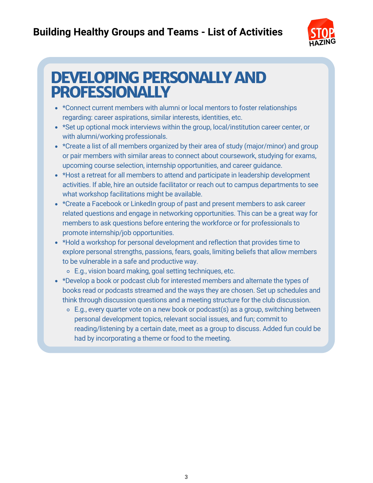## **Building Healthy Groups and Teams - List of Activities**



# **DEVELOPING PERSONALLY AND PROFESSIONALLY**

- \*Connect current members with alumni or local mentors to foster relationships regarding: career aspirations, similar interests, identities, etc.
- \* \*Set up optional mock interviews within the group, local/institution career center, or with alumni/working professionals.
- \*Create a list of all members organized by their area of study (major/minor) and group or pair members with similar areas to connect about coursework, studying for exams, upcoming course selection, internship opportunities, and career guidance.
- \*Host a retreat for all members to attend and participate in leadership development activities. If able, hire an outside facilitator or reach out to campus departments to see what workshop facilitations might be available.
- \*Create a Facebook or LinkedIn group of past and present members to ask career related questions and engage in networking opportunities. This can be a great way for members to ask questions before entering the workforce or for professionals to promote internship/job opportunities.
- \*Hold a workshop for personal development and reflection that provides time to explore personal strengths, passions, fears, goals, limiting beliefs that allow members to be vulnerable in a safe and productive way.
	- E.g., vision board making, goal setting techniques, etc.
- \*Develop a book or podcast club for interested members and alternate the types of books read or podcasts streamed and the ways they are chosen. Set up schedules and think through discussion questions and a meeting structure for the club discussion.
	- E.g., every quarter vote on a new book or podcast(s) as a group, switching between personal development topics, relevant social issues, and fun; commit to reading/listening by a certain date, meet as a group to discuss. Added fun could be had by incorporating a theme or food to the meeting.